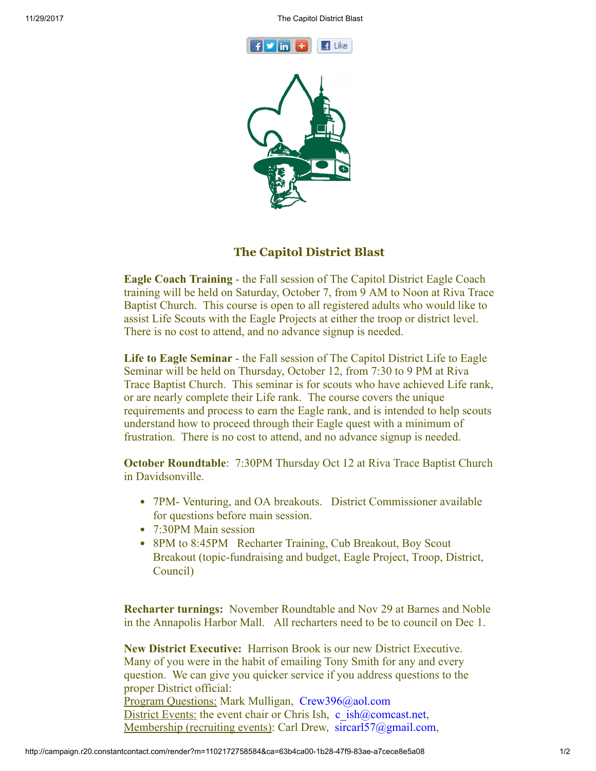



## The Capitol District Blast

Eagle Coach Training - the Fall session of The Capitol District Eagle Coach training will be held on Saturday, October 7, from 9 AM to Noon at Riva Trace Baptist Church. This course is open to all registered adults who would like to assist Life Scouts with the Eagle Projects at either the troop or district level. There is no cost to attend, and no advance signup is needed.

Life to Eagle Seminar - the Fall session of The Capitol District Life to Eagle Seminar will be held on Thursday, October 12, from 7:30 to 9 PM at Riva Trace Baptist Church. This seminar is for scouts who have achieved Life rank, or are nearly complete their Life rank. The course covers the unique requirements and process to earn the Eagle rank, and is intended to help scouts understand how to proceed through their Eagle quest with a minimum of frustration. There is no cost to attend, and no advance signup is needed.

October Roundtable: 7:30PM Thursday Oct 12 at Riva Trace Baptist Church in Davidsonville.

- 7PM- Venturing, and OA breakouts. District Commissioner available for questions before main session.
- 7:30PM Main session
- 8PM to 8:45PM Recharter Training, Cub Breakout, Boy Scout Breakout (topic-fundraising and budget, Eagle Project, Troop, District, Council)

Recharter turnings: November Roundtable and Nov 29 at Barnes and Noble in the Annapolis Harbor Mall. All recharters need to be to council on Dec 1.

New District Executive: Harrison Brook is our new District Executive. Many of you were in the habit of emailing Tony Smith for any and every question. We can give you quicker service if you address questions to the proper District official: Program Questions: Mark Mulligan, [Crew396@aol.com](mailto:Crew396@aol.com) District Events: the event chair or Chris Ish, c\_ish $@$ comcast.net, Membership (recruiting events): Carl Drew, [sircarl57@gmail.com](mailto:sircarl57@gmail.com),